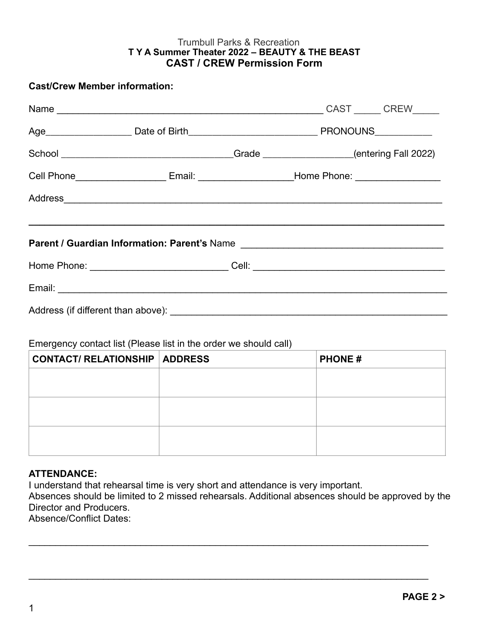#### Trumbull Parks & Recreation **T Y A Summer Theater 2022 – BEAUTY & THE BEAST CAST / CREW Permission Form**

### **Cast/Crew Member information:**

|                                                                                  |  |  | School _________________________________Grade ____________________(entering Fall 2022)              |  |  |  |
|----------------------------------------------------------------------------------|--|--|-----------------------------------------------------------------------------------------------------|--|--|--|
|                                                                                  |  |  | Cell Phone________________________Email: _________________________Home Phone: _____________________ |  |  |  |
|                                                                                  |  |  |                                                                                                     |  |  |  |
|                                                                                  |  |  |                                                                                                     |  |  |  |
| Parent / Guardian Information: Parent's Name ___________________________________ |  |  |                                                                                                     |  |  |  |
|                                                                                  |  |  | Home Phone: _________________________________Cell: _____________________________                    |  |  |  |
|                                                                                  |  |  |                                                                                                     |  |  |  |
|                                                                                  |  |  |                                                                                                     |  |  |  |

# Emergency contact list (Please list in the order we should call)

| <b>CONTACT/ RELATIONSHIP   ADDRESS</b> | <b>PHONE#</b> |
|----------------------------------------|---------------|
|                                        |               |
|                                        |               |
|                                        |               |
|                                        |               |
|                                        |               |

### **ATTENDANCE:**

I understand that rehearsal time is very short and attendance is very important.

Absences should be limited to 2 missed rehearsals. Additional absences should be approved by the Director and Producers.

 $\mathcal{L}_\text{max} = \mathcal{L}_\text{max} = \mathcal{L}_\text{max} = \mathcal{L}_\text{max} = \mathcal{L}_\text{max} = \mathcal{L}_\text{max} = \mathcal{L}_\text{max} = \mathcal{L}_\text{max} = \mathcal{L}_\text{max} = \mathcal{L}_\text{max} = \mathcal{L}_\text{max} = \mathcal{L}_\text{max} = \mathcal{L}_\text{max} = \mathcal{L}_\text{max} = \mathcal{L}_\text{max} = \mathcal{L}_\text{max} = \mathcal{L}_\text{max} = \mathcal{L}_\text{max} = \mathcal{$ 

 $\mathcal{L}_\text{max} = \mathcal{L}_\text{max} = \mathcal{L}_\text{max} = \mathcal{L}_\text{max} = \mathcal{L}_\text{max} = \mathcal{L}_\text{max} = \mathcal{L}_\text{max} = \mathcal{L}_\text{max} = \mathcal{L}_\text{max} = \mathcal{L}_\text{max} = \mathcal{L}_\text{max} = \mathcal{L}_\text{max} = \mathcal{L}_\text{max} = \mathcal{L}_\text{max} = \mathcal{L}_\text{max} = \mathcal{L}_\text{max} = \mathcal{L}_\text{max} = \mathcal{L}_\text{max} = \mathcal{$ 

Absence/Conflict Dates: